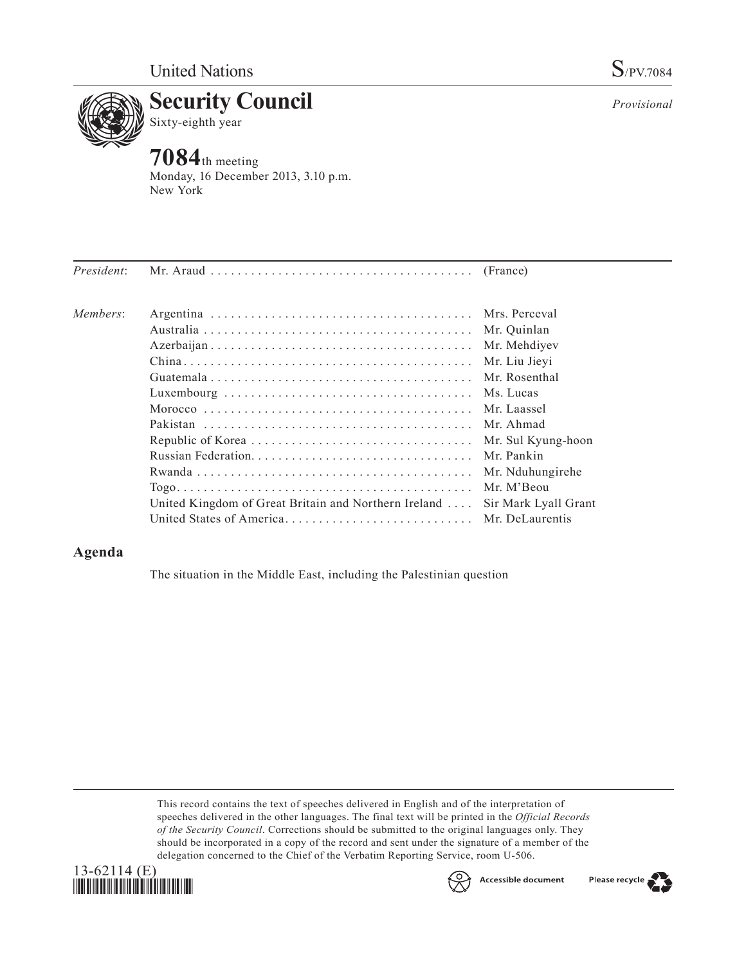

*Provisional*

## **Security Council**<br>Sixty-eighth year Sixty-eighth year **7084**th meeting

Monday, 16 December 2013, 3.10 p.m. New York

|                                                      | Mr. Quinlan          |
|------------------------------------------------------|----------------------|
|                                                      | Mr. Mehdiyev         |
|                                                      | Mr. Liu Jieyi        |
|                                                      | Mr. Rosenthal        |
|                                                      | Ms. Lucas            |
|                                                      |                      |
|                                                      | Mr. Ahmad            |
|                                                      | Mr. Sul Kyung-hoon   |
|                                                      | Mr. Pankin           |
|                                                      | Mr. Nduhungirehe     |
|                                                      | Mr. M'Beou           |
| United Kingdom of Great Britain and Northern Ireland | Sir Mark Lyall Grant |
|                                                      |                      |
|                                                      |                      |

## **Agenda**

The situation in the Middle East, including the Palestinian question

This record contains the text of speeches delivered in English and of the interpretation of speeches delivered in the other languages. The final text will be printed in the *Official Records of the Security Council*. Corrections should be submitted to the original languages only. They should be incorporated in a copy of the record and sent under the signature of a member of the delegation concerned to the Chief of the Verbatim Reporting Service, room U-506.





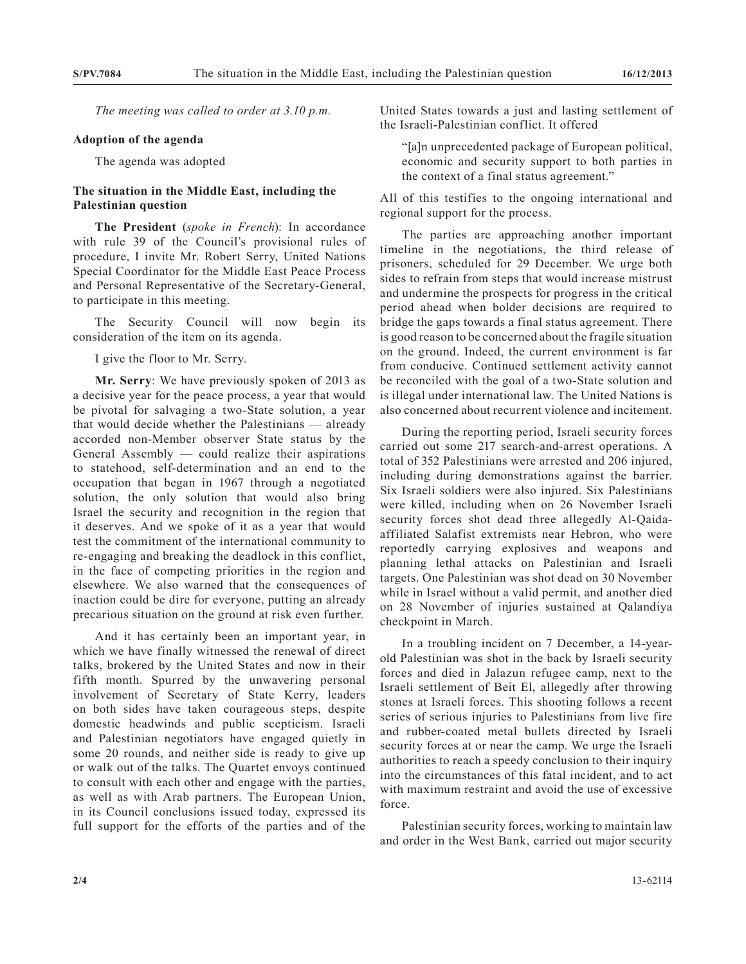*The meeting was called to order at 3.10 p.m.*

## **Adoption of the agenda**

The agenda was adopted

## **The situation in the Middle East, including the Palestinian question**

**The President** (*spoke in French*): In accordance with rule 39 of the Council's provisional rules of procedure, I invite Mr. Robert Serry, United Nations Special Coordinator for the Middle East Peace Process and Personal Representative of the Secretary-General, to participate in this meeting.

The Security Council will now begin its consideration of the item on its agenda.

I give the floor to Mr. Serry.

**Mr. Serry**: We have previously spoken of 2013 as a decisive year for the peace process, a year that would be pivotal for salvaging a two-State solution, a year that would decide whether the Palestinians — already accorded non-Member observer State status by the General Assembly — could realize their aspirations to statehood, self-determination and an end to the occupation that began in 1967 through a negotiated solution, the only solution that would also bring Israel the security and recognition in the region that it deserves. And we spoke of it as a year that would test the commitment of the international community to re-engaging and breaking the deadlock in this conflict, in the face of competing priorities in the region and elsewhere. We also warned that the consequences of inaction could be dire for everyone, putting an already precarious situation on the ground at risk even further.

And it has certainly been an important year, in which we have finally witnessed the renewal of direct talks, brokered by the United States and now in their fifth month. Spurred by the unwavering personal involvement of Secretary of State Kerry, leaders on both sides have taken courageous steps, despite domestic headwinds and public scepticism. Israeli and Palestinian negotiators have engaged quietly in some 20 rounds, and neither side is ready to give up or walk out of the talks. The Quartet envoys continued to consult with each other and engage with the parties, as well as with Arab partners. The European Union, in its Council conclusions issued today, expressed its full support for the efforts of the parties and of the

United States towards a just and lasting settlement of the Israeli-Palestinian conflict. It offered

"[a]n unprecedented package of European political, economic and security support to both parties in the context of a final status agreement."

All of this testifies to the ongoing international and regional support for the process.

The parties are approaching another important timeline in the negotiations, the third release of prisoners, scheduled for 29 December. We urge both sides to refrain from steps that would increase mistrust and undermine the prospects for progress in the critical period ahead when bolder decisions are required to bridge the gaps towards a final status agreement. There is good reason to be concerned about the fragile situation on the ground. Indeed, the current environment is far from conducive. Continued settlement activity cannot be reconciled with the goal of a two-State solution and is illegal under international law. The United Nations is also concerned about recurrent violence and incitement.

During the reporting period, Israeli security forces carried out some 217 search-and-arrest operations. A total of 352 Palestinians were arrested and 206 injured, including during demonstrations against the barrier. Six Israeli soldiers were also injured. Six Palestinians were killed, including when on 26 November Israeli security forces shot dead three allegedly Al-Qaidaaffiliated Salafist extremists near Hebron, who were reportedly carrying explosives and weapons and planning lethal attacks on Palestinian and Israeli targets. One Palestinian was shot dead on 30 November while in Israel without a valid permit, and another died on 28 November of injuries sustained at Qalandiya checkpoint in March.

In a troubling incident on 7 December, a 14-yearold Palestinian was shot in the back by Israeli security forces and died in Jalazun refugee camp, next to the Israeli settlement of Beit El, allegedly after throwing stones at Israeli forces. This shooting follows a recent series of serious injuries to Palestinians from live fire and rubber-coated metal bullets directed by Israeli security forces at or near the camp. We urge the Israeli authorities to reach a speedy conclusion to their inquiry into the circumstances of this fatal incident, and to act with maximum restraint and avoid the use of excessive force.

Palestinian security forces, working to maintain law and order in the West Bank, carried out major security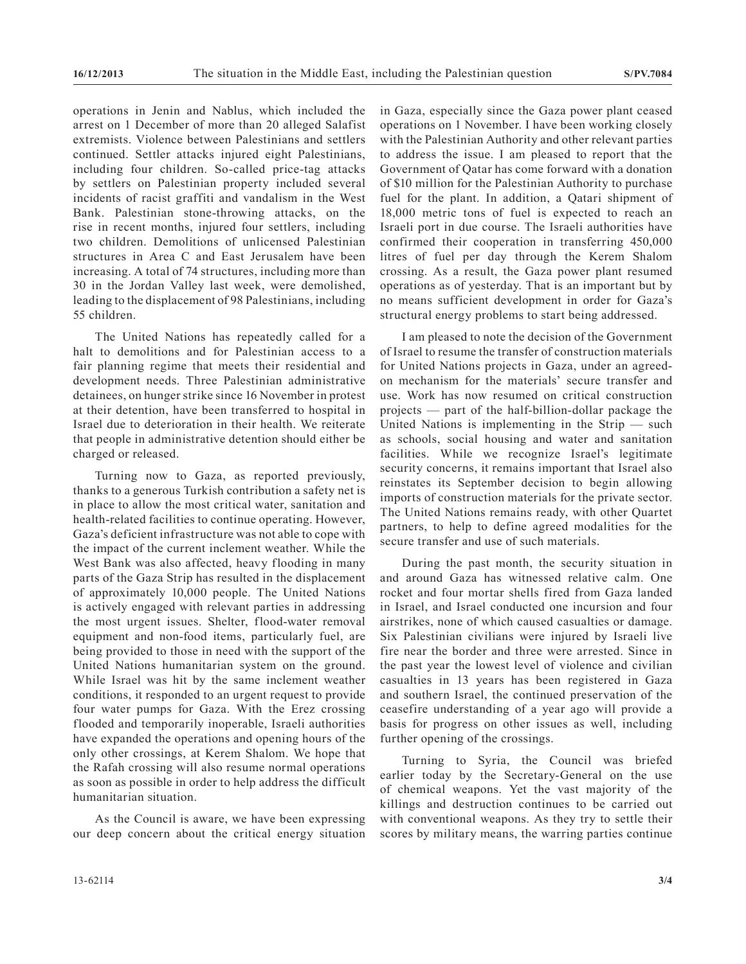operations in Jenin and Nablus, which included the arrest on 1 December of more than 20 alleged Salafist extremists. Violence between Palestinians and settlers continued. Settler attacks injured eight Palestinians, including four children. So-called price-tag attacks by settlers on Palestinian property included several incidents of racist graffiti and vandalism in the West Bank. Palestinian stone-throwing attacks, on the rise in recent months, injured four settlers, including two children. Demolitions of unlicensed Palestinian structures in Area C and East Jerusalem have been increasing. A total of 74 structures, including more than 30 in the Jordan Valley last week, were demolished, leading to the displacement of 98 Palestinians, including 55 children.

The United Nations has repeatedly called for a halt to demolitions and for Palestinian access to a fair planning regime that meets their residential and development needs. Three Palestinian administrative detainees, on hunger strike since 16 November in protest at their detention, have been transferred to hospital in Israel due to deterioration in their health. We reiterate that people in administrative detention should either be charged or released.

Turning now to Gaza, as reported previously, thanks to a generous Turkish contribution a safety net is in place to allow the most critical water, sanitation and health-related facilities to continue operating. However, Gaza's deficient infrastructure was not able to cope with the impact of the current inclement weather. While the West Bank was also affected, heavy flooding in many parts of the Gaza Strip has resulted in the displacement of approximately 10,000 people. The United Nations is actively engaged with relevant parties in addressing the most urgent issues. Shelter, flood-water removal equipment and non-food items, particularly fuel, are being provided to those in need with the support of the United Nations humanitarian system on the ground. While Israel was hit by the same inclement weather conditions, it responded to an urgent request to provide four water pumps for Gaza. With the Erez crossing flooded and temporarily inoperable, Israeli authorities have expanded the operations and opening hours of the only other crossings, at Kerem Shalom. We hope that the Rafah crossing will also resume normal operations as soon as possible in order to help address the difficult humanitarian situation.

As the Council is aware, we have been expressing our deep concern about the critical energy situation in Gaza, especially since the Gaza power plant ceased operations on 1 November. I have been working closely with the Palestinian Authority and other relevant parties to address the issue. I am pleased to report that the Government of Qatar has come forward with a donation of \$10 million for the Palestinian Authority to purchase fuel for the plant. In addition, a Qatari shipment of 18,000 metric tons of fuel is expected to reach an Israeli port in due course. The Israeli authorities have confirmed their cooperation in transferring 450,000 litres of fuel per day through the Kerem Shalom crossing. As a result, the Gaza power plant resumed operations as of yesterday. That is an important but by no means sufficient development in order for Gaza's structural energy problems to start being addressed.

I am pleased to note the decision of the Government of Israel to resume the transfer of construction materials for United Nations projects in Gaza, under an agreedon mechanism for the materials' secure transfer and use. Work has now resumed on critical construction projects — part of the half-billion-dollar package the United Nations is implementing in the Strip — such as schools, social housing and water and sanitation facilities. While we recognize Israel's legitimate security concerns, it remains important that Israel also reinstates its September decision to begin allowing imports of construction materials for the private sector. The United Nations remains ready, with other Quartet partners, to help to define agreed modalities for the secure transfer and use of such materials.

During the past month, the security situation in and around Gaza has witnessed relative calm. One rocket and four mortar shells fired from Gaza landed in Israel, and Israel conducted one incursion and four airstrikes, none of which caused casualties or damage. Six Palestinian civilians were injured by Israeli live fire near the border and three were arrested. Since in the past year the lowest level of violence and civilian casualties in 13 years has been registered in Gaza and southern Israel, the continued preservation of the ceasefire understanding of a year ago will provide a basis for progress on other issues as well, including further opening of the crossings.

Turning to Syria, the Council was briefed earlier today by the Secretary-General on the use of chemical weapons. Yet the vast majority of the killings and destruction continues to be carried out with conventional weapons. As they try to settle their scores by military means, the warring parties continue